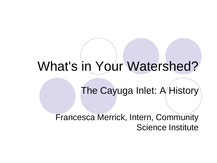# What's in Your Watershed?

## The Cayuga Inlet: A History

#### Francesca Merrick, Intern, Community Science Institute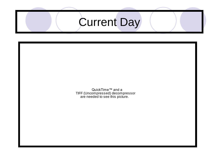# Current Day

QuickTime™ and a TIFF (Uncompressed) decompressor are needed to see this picture.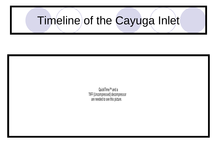# Timeline of the Cayuga Inlet

QuickTime™ and a TIFF (Uncompressed) decompressor are needed to see this picture.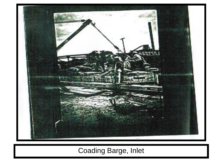

#### Coading Barge, Inlet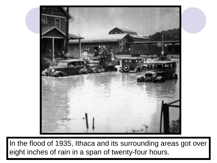

In the flood of 1935, Ithaca and its surrounding areas got over eight inches of rain in a span of twenty-four hours.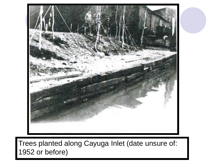

#### Trees planted along Cayuga Inlet (date unsure of: 1952 or before)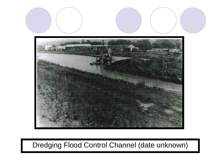

#### Dredging Flood Control Channel (date unknown)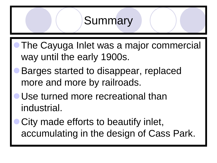## **Summary**

- The Cayuga Inlet was a major commercial way until the early 1900s.
- Barges started to disappear, replaced more and more by railroads.
- Use turned more recreational than industrial.
- City made efforts to beautify inlet, accumulating in the design of Cass Park.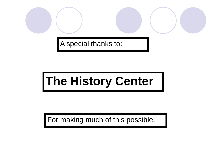A special thanks to:

# **The History Center**

For making much of this possible.